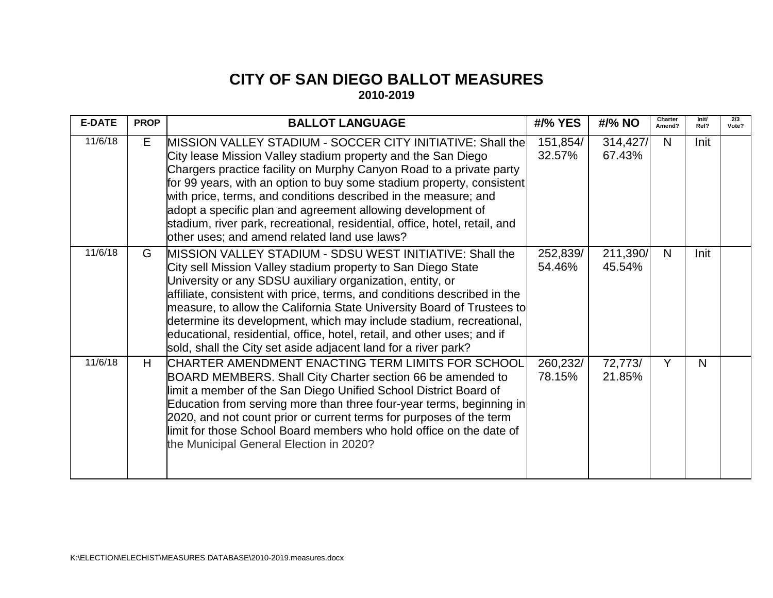## **CITY OF SAN DIEGO BALLOT MEASURES 2010-2019**

| <b>E-DATE</b> | <b>PROP</b> | <b>BALLOT LANGUAGE</b>                                                                                                                                                                                                                                                                                                                                                                                                                                                                                                                                          | #/% YES            | #/% NO             | Charter<br>Amend? | Init/<br>Ref? | 2/3<br>Vote? |
|---------------|-------------|-----------------------------------------------------------------------------------------------------------------------------------------------------------------------------------------------------------------------------------------------------------------------------------------------------------------------------------------------------------------------------------------------------------------------------------------------------------------------------------------------------------------------------------------------------------------|--------------------|--------------------|-------------------|---------------|--------------|
| 11/6/18       | E           | MISSION VALLEY STADIUM - SOCCER CITY INITIATIVE: Shall the<br>City lease Mission Valley stadium property and the San Diego<br>Chargers practice facility on Murphy Canyon Road to a private party<br>for 99 years, with an option to buy some stadium property, consistent<br>with price, terms, and conditions described in the measure; and<br>adopt a specific plan and agreement allowing development of<br>stadium, river park, recreational, residential, office, hotel, retail, and<br>other uses; and amend related land use laws?                      | 151,854/<br>32.57% | 314,427/<br>67.43% | N                 | Init          |              |
| 11/6/18       | G           | MISSION VALLEY STADIUM - SDSU WEST INITIATIVE: Shall the<br>City sell Mission Valley stadium property to San Diego State<br>University or any SDSU auxiliary organization, entity, or<br>affiliate, consistent with price, terms, and conditions described in the<br>measure, to allow the California State University Board of Trustees to<br>determine its development, which may include stadium, recreational,<br>educational, residential, office, hotel, retail, and other uses; and if<br>sold, shall the City set aside adjacent land for a river park? | 252,839/<br>54.46% | 211,390/<br>45.54% | N                 | Init          |              |
| 11/6/18       | H           | CHARTER AMENDMENT ENACTING TERM LIMITS FOR SCHOOL<br>BOARD MEMBERS. Shall City Charter section 66 be amended to<br>limit a member of the San Diego Unified School District Board of<br>Education from serving more than three four-year terms, beginning in<br>2020, and not count prior or current terms for purposes of the term<br>llimit for those School Board members who hold office on the date of<br>the Municipal General Election in 2020?                                                                                                           | 260,232/<br>78.15% | 72,773/<br>21.85%  | Y                 | N             |              |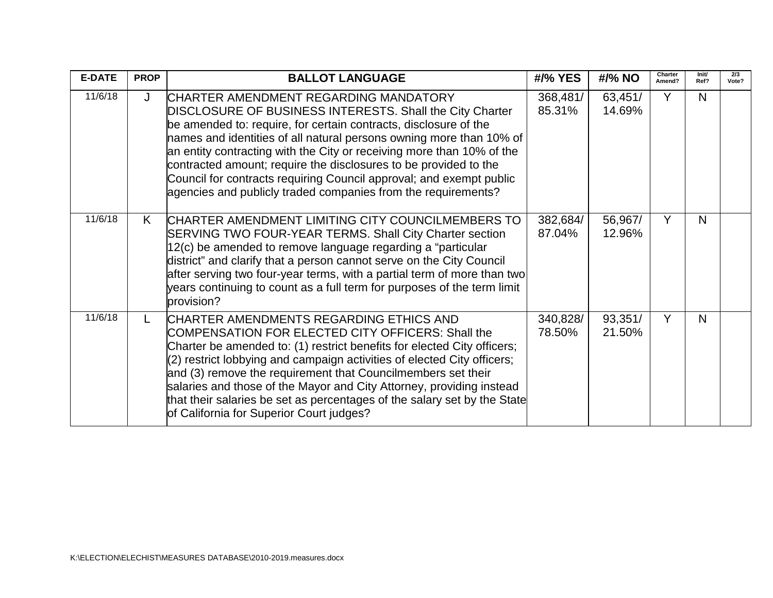| <b>E-DATE</b> | <b>PROP</b> | <b>BALLOT LANGUAGE</b>                                                                                                                                                                                                                                                                                                                                                                                                                                                                                                             | #/% YES            | #/% NO            | Charter<br>Amend? | lnit/<br>Ref? | 2/3<br>Vote? |
|---------------|-------------|------------------------------------------------------------------------------------------------------------------------------------------------------------------------------------------------------------------------------------------------------------------------------------------------------------------------------------------------------------------------------------------------------------------------------------------------------------------------------------------------------------------------------------|--------------------|-------------------|-------------------|---------------|--------------|
| 11/6/18       | J           | ICHARTER AMENDMENT REGARDING MANDATORY<br>DISCLOSURE OF BUSINESS INTERESTS. Shall the City Charter<br>be amended to: require, for certain contracts, disclosure of the<br>names and identities of all natural persons owning more than 10% of<br>an entity contracting with the City or receiving more than 10% of the<br>contracted amount; require the disclosures to be provided to the<br>Council for contracts requiring Council approval; and exempt public<br>agencies and publicly traded companies from the requirements? | 368,481/<br>85.31% | 63,451/<br>14.69% | Y                 | N             |              |
| 11/6/18       | K           | CHARTER AMENDMENT LIMITING CITY COUNCILMEMBERS TO<br>SERVING TWO FOUR-YEAR TERMS. Shall City Charter section<br>12(c) be amended to remove language regarding a "particular<br>district" and clarify that a person cannot serve on the City Council<br>after serving two four-year terms, with a partial term of more than two<br>years continuing to count as a full term for purposes of the term limit<br>provision?                                                                                                            | 382,684/<br>87.04% | 56,967/<br>12.96% | Y                 | N             |              |
| 11/6/18       | L           | CHARTER AMENDMENTS REGARDING ETHICS AND<br>COMPENSATION FOR ELECTED CITY OFFICERS: Shall the<br>Charter be amended to: (1) restrict benefits for elected City officers;<br>(2) restrict lobbying and campaign activities of elected City officers;<br>and (3) remove the requirement that Councilmembers set their<br>salaries and those of the Mayor and City Attorney, providing instead<br>that their salaries be set as percentages of the salary set by the State<br>of California for Superior Court judges?                 | 340,828/<br>78.50% | 93,351/<br>21.50% | Y                 | N             |              |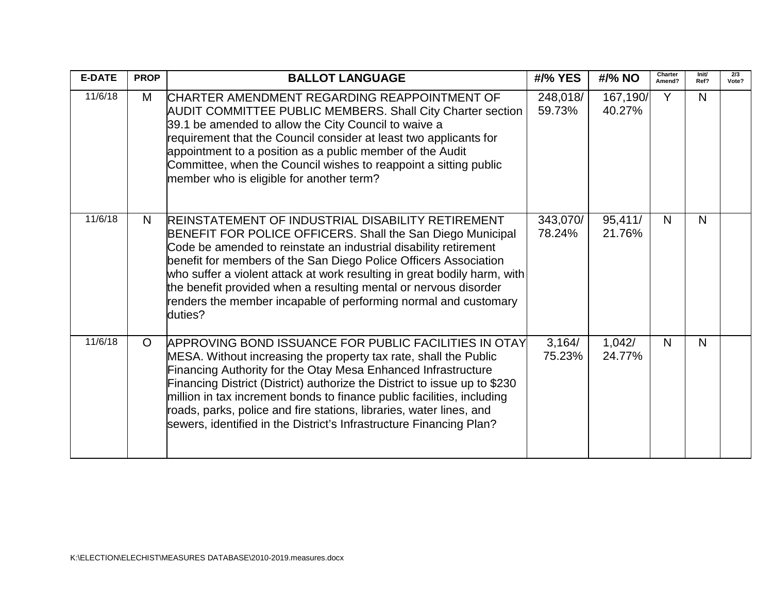| <b>E-DATE</b> | <b>PROP</b> | <b>BALLOT LANGUAGE</b>                                                                                                                                                                                                                                                                                                                                                                                                                                                                          | #/% YES            | #/% NO             | Charter<br>Amend? | Init/<br>Ref? | 2/3<br>Vote? |
|---------------|-------------|-------------------------------------------------------------------------------------------------------------------------------------------------------------------------------------------------------------------------------------------------------------------------------------------------------------------------------------------------------------------------------------------------------------------------------------------------------------------------------------------------|--------------------|--------------------|-------------------|---------------|--------------|
| 11/6/18       | M           | CHARTER AMENDMENT REGARDING REAPPOINTMENT OF<br><b>AUDIT COMMITTEE PUBLIC MEMBERS. Shall City Charter section</b><br>39.1 be amended to allow the City Council to waive a<br>requirement that the Council consider at least two applicants for<br>appointment to a position as a public member of the Audit<br>Committee, when the Council wishes to reappoint a sitting public<br>member who is eligible for another term?                                                                     | 248,018/<br>59.73% | 167,190/<br>40.27% | Y                 | N             |              |
| 11/6/18       | N           | <b>REINSTATEMENT OF INDUSTRIAL DISABILITY RETIREMENT</b><br>BENEFIT FOR POLICE OFFICERS. Shall the San Diego Municipal<br>Code be amended to reinstate an industrial disability retirement<br>benefit for members of the San Diego Police Officers Association<br>who suffer a violent attack at work resulting in great bodily harm, with<br>the benefit provided when a resulting mental or nervous disorder<br>renders the member incapable of performing normal and customary<br>duties?    | 343,070/<br>78.24% | 95,411/<br>21.76%  | N <sub>1</sub>    | N             |              |
| 11/6/18       | $\circ$     | APPROVING BOND ISSUANCE FOR PUBLIC FACILITIES IN OTAY<br>MESA. Without increasing the property tax rate, shall the Public<br>Financing Authority for the Otay Mesa Enhanced Infrastructure<br>Financing District (District) authorize the District to issue up to \$230<br>million in tax increment bonds to finance public facilities, including<br>roads, parks, police and fire stations, libraries, water lines, and<br>sewers, identified in the District's Infrastructure Financing Plan? | 3,164/<br>75.23%   | 1,042/<br>24.77%   | N                 | N             |              |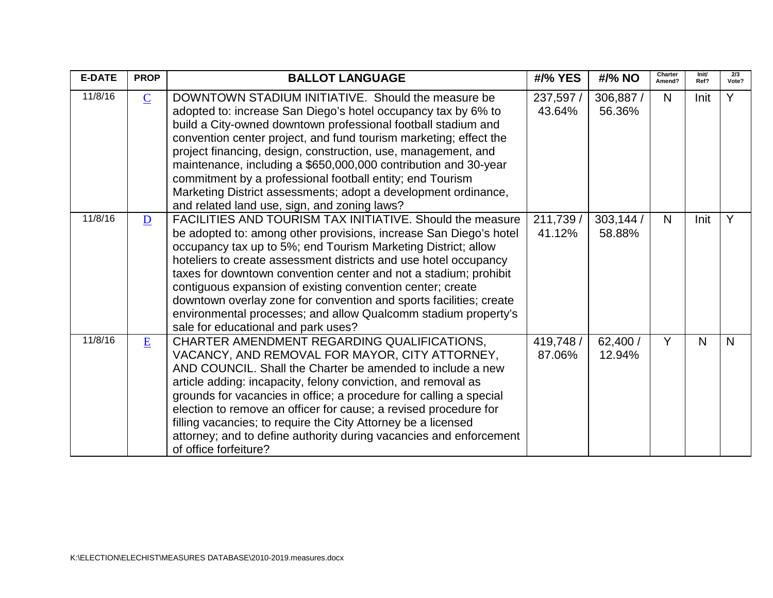| <b>E-DATE</b> | <b>PROP</b>     | <b>BALLOT LANGUAGE</b>                                                                                                                                                                                                                                                                                                                                                                                                                                                                                                                                                               | #/% YES             | #/% NO              | Charter<br>Amend? | Init/<br>Ref? | 2/3<br>Vote? |
|---------------|-----------------|--------------------------------------------------------------------------------------------------------------------------------------------------------------------------------------------------------------------------------------------------------------------------------------------------------------------------------------------------------------------------------------------------------------------------------------------------------------------------------------------------------------------------------------------------------------------------------------|---------------------|---------------------|-------------------|---------------|--------------|
| 11/8/16       | $\underline{C}$ | DOWNTOWN STADIUM INITIATIVE. Should the measure be<br>adopted to: increase San Diego's hotel occupancy tax by 6% to<br>build a City-owned downtown professional football stadium and<br>convention center project, and fund tourism marketing; effect the<br>project financing, design, construction, use, management, and<br>maintenance, including a \$650,000,000 contribution and 30-year<br>commitment by a professional football entity; end Tourism<br>Marketing District assessments; adopt a development ordinance,<br>and related land use, sign, and zoning laws?         | 237,597 /<br>43.64% | 306,887 /<br>56.36% | N                 | Init          | Y            |
| 11/8/16       | $\overline{D}$  | FACILITIES AND TOURISM TAX INITIATIVE, Should the measure<br>be adopted to: among other provisions, increase San Diego's hotel<br>occupancy tax up to 5%; end Tourism Marketing District; allow<br>hoteliers to create assessment districts and use hotel occupancy<br>taxes for downtown convention center and not a stadium; prohibit<br>contiguous expansion of existing convention center; create<br>downtown overlay zone for convention and sports facilities; create<br>environmental processes; and allow Qualcomm stadium property's<br>sale for educational and park uses? | 211,739 /<br>41.12% | 303,144 /<br>58.88% | N <sub>1</sub>    | Init          | Y            |
| 11/8/16       | E               | CHARTER AMENDMENT REGARDING QUALIFICATIONS,<br>VACANCY, AND REMOVAL FOR MAYOR, CITY ATTORNEY,<br>AND COUNCIL. Shall the Charter be amended to include a new<br>article adding: incapacity, felony conviction, and removal as<br>grounds for vacancies in office; a procedure for calling a special<br>election to remove an officer for cause; a revised procedure for<br>filling vacancies; to require the City Attorney be a licensed<br>attorney; and to define authority during vacancies and enforcement<br>of office forfeiture?                                               | 419,748 /<br>87.06% | 62,400 /<br>12.94%  | Y                 | N             | N            |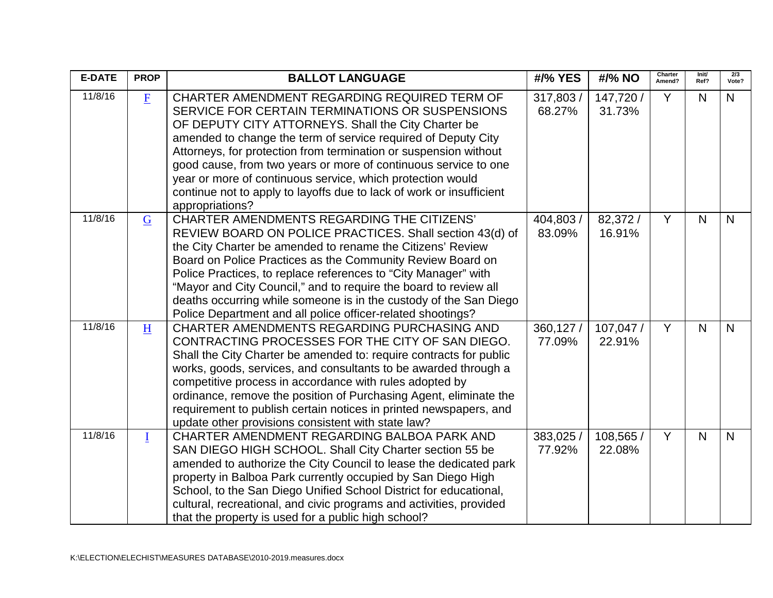| <b>E-DATE</b> | <b>PROP</b>    | <b>BALLOT LANGUAGE</b>                                                                                                                                                                                                                                                                                                                                                                                                                                                                                                  | #/% YES             | #/% NO              | Charter<br>Amend? | Init/<br>Ref?  | $\overline{2/3}$<br>Vote? |
|---------------|----------------|-------------------------------------------------------------------------------------------------------------------------------------------------------------------------------------------------------------------------------------------------------------------------------------------------------------------------------------------------------------------------------------------------------------------------------------------------------------------------------------------------------------------------|---------------------|---------------------|-------------------|----------------|---------------------------|
| 11/8/16       | E              | CHARTER AMENDMENT REGARDING REQUIRED TERM OF<br>SERVICE FOR CERTAIN TERMINATIONS OR SUSPENSIONS<br>OF DEPUTY CITY ATTORNEYS. Shall the City Charter be<br>amended to change the term of service required of Deputy City<br>Attorneys, for protection from termination or suspension without<br>good cause, from two years or more of continuous service to one<br>year or more of continuous service, which protection would<br>continue not to apply to layoffs due to lack of work or insufficient<br>appropriations? | 317,803 /<br>68.27% | 147,720 /<br>31.73% | Y                 | N <sub>1</sub> | $\mathsf{N}$              |
| 11/8/16       | $\overline{G}$ | <b>CHARTER AMENDMENTS REGARDING THE CITIZENS'</b><br>REVIEW BOARD ON POLICE PRACTICES. Shall section 43(d) of<br>the City Charter be amended to rename the Citizens' Review<br>Board on Police Practices as the Community Review Board on<br>Police Practices, to replace references to "City Manager" with<br>"Mayor and City Council," and to require the board to review all<br>deaths occurring while someone is in the custody of the San Diego<br>Police Department and all police officer-related shootings?     | 404,803 /<br>83.09% | 82,372/<br>16.91%   | Y                 | $\mathsf{N}$   | N                         |
| 11/8/16       | H              | CHARTER AMENDMENTS REGARDING PURCHASING AND<br>CONTRACTING PROCESSES FOR THE CITY OF SAN DIEGO.<br>Shall the City Charter be amended to: require contracts for public<br>works, goods, services, and consultants to be awarded through a<br>competitive process in accordance with rules adopted by<br>ordinance, remove the position of Purchasing Agent, eliminate the<br>requirement to publish certain notices in printed newspapers, and<br>update other provisions consistent with state law?                     | 360,127 /<br>77.09% | 107,047 /<br>22.91% | Y                 | N              | N                         |
| 11/8/16       | $\mathbf{I}$   | CHARTER AMENDMENT REGARDING BALBOA PARK AND<br>SAN DIEGO HIGH SCHOOL. Shall City Charter section 55 be<br>amended to authorize the City Council to lease the dedicated park<br>property in Balboa Park currently occupied by San Diego High<br>School, to the San Diego Unified School District for educational,<br>cultural, recreational, and civic programs and activities, provided<br>that the property is used for a public high school?                                                                          | 383,025 /<br>77.92% | 108,565 /<br>22.08% | Y                 | N <sub>1</sub> | $\mathsf{N}$              |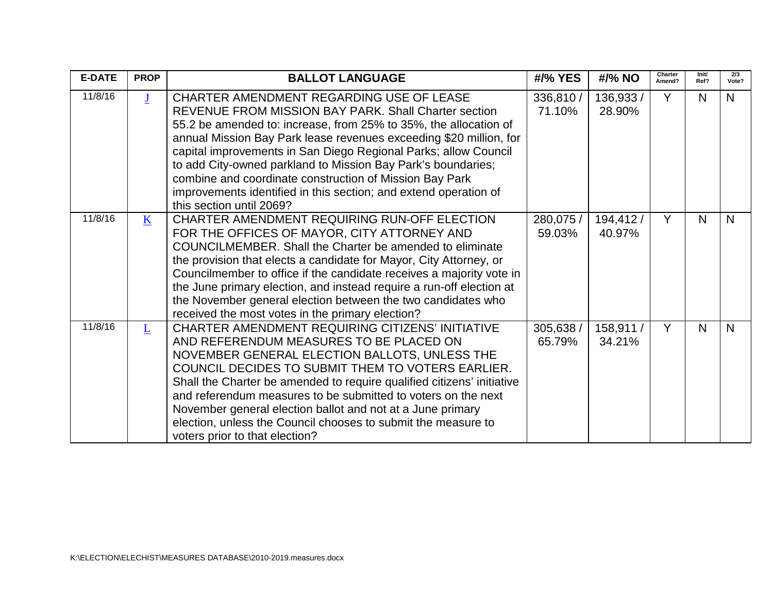| <b>E-DATE</b> | <b>PROP</b>             | <b>BALLOT LANGUAGE</b>                                                                                                                                                                                                                                                                                                                                                                                                                                                                                                                   | #/% YES             | #/% NO              | Charter<br>Amend? | Init/<br>Ref? | 2/3<br>Vote? |
|---------------|-------------------------|------------------------------------------------------------------------------------------------------------------------------------------------------------------------------------------------------------------------------------------------------------------------------------------------------------------------------------------------------------------------------------------------------------------------------------------------------------------------------------------------------------------------------------------|---------------------|---------------------|-------------------|---------------|--------------|
| 11/8/16       | $\overline{\mathbf{J}}$ | CHARTER AMENDMENT REGARDING USE OF LEASE<br>REVENUE FROM MISSION BAY PARK. Shall Charter section<br>55.2 be amended to: increase, from 25% to 35%, the allocation of<br>annual Mission Bay Park lease revenues exceeding \$20 million, for<br>capital improvements in San Diego Regional Parks; allow Council<br>to add City-owned parkland to Mission Bay Park's boundaries;<br>combine and coordinate construction of Mission Bay Park<br>improvements identified in this section; and extend operation of<br>this section until 2069? | 336,810 /<br>71.10% | 136,933 /<br>28.90% | Y                 | N             | N            |
| 11/8/16       | $\bf K$                 | CHARTER AMENDMENT REQUIRING RUN-OFF ELECTION<br>FOR THE OFFICES OF MAYOR, CITY ATTORNEY AND<br>COUNCILMEMBER. Shall the Charter be amended to eliminate<br>the provision that elects a candidate for Mayor, City Attorney, or<br>Councilmember to office if the candidate receives a majority vote in<br>the June primary election, and instead require a run-off election at<br>the November general election between the two candidates who<br>received the most votes in the primary election?                                        | 280,075 /<br>59.03% | 194,412/<br>40.97%  | Y                 | N             | N            |
| 11/8/16       | $\overline{\mathsf{L}}$ | <b>CHARTER AMENDMENT REQUIRING CITIZENS' INITIATIVE</b><br>AND REFERENDUM MEASURES TO BE PLACED ON<br>NOVEMBER GENERAL ELECTION BALLOTS, UNLESS THE<br>COUNCIL DECIDES TO SUBMIT THEM TO VOTERS EARLIER.<br>Shall the Charter be amended to require qualified citizens' initiative<br>and referendum measures to be submitted to voters on the next<br>November general election ballot and not at a June primary<br>election, unless the Council chooses to submit the measure to<br>voters prior to that election?                     | 305,638 /<br>65.79% | 158,911 /<br>34.21% | Y                 | N             | N            |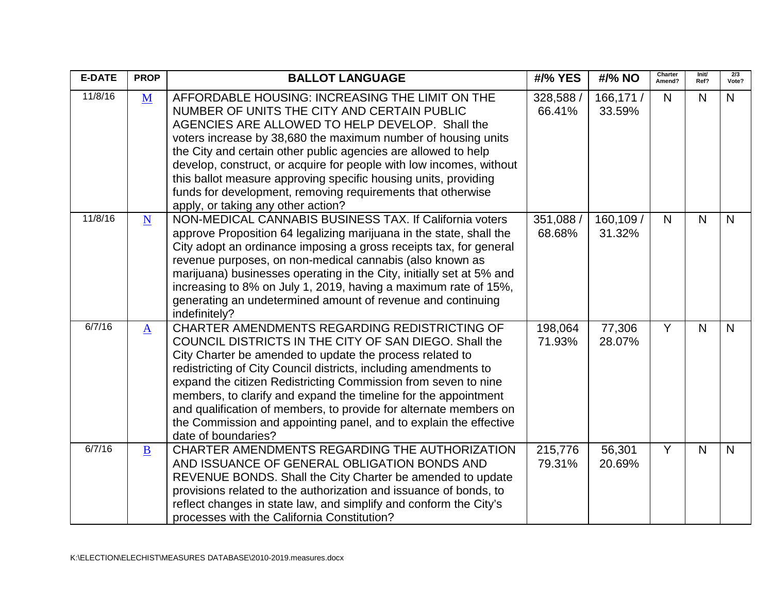| <b>E-DATE</b> | <b>PROP</b>              | <b>BALLOT LANGUAGE</b>                                                                                                                                                                                                                                                                                                                                                                                                                                                                                                                       | #/% YES             | #/% NO              | Charter<br>Amend? | Init/<br>Ref?  | $\overline{2/3}$<br>Vote? |
|---------------|--------------------------|----------------------------------------------------------------------------------------------------------------------------------------------------------------------------------------------------------------------------------------------------------------------------------------------------------------------------------------------------------------------------------------------------------------------------------------------------------------------------------------------------------------------------------------------|---------------------|---------------------|-------------------|----------------|---------------------------|
| 11/8/16       | M                        | AFFORDABLE HOUSING: INCREASING THE LIMIT ON THE<br>NUMBER OF UNITS THE CITY AND CERTAIN PUBLIC<br>AGENCIES ARE ALLOWED TO HELP DEVELOP. Shall the<br>voters increase by 38,680 the maximum number of housing units<br>the City and certain other public agencies are allowed to help<br>develop, construct, or acquire for people with low incomes, without<br>this ballot measure approving specific housing units, providing<br>funds for development, removing requirements that otherwise<br>apply, or taking any other action?          | 328,588 /<br>66.41% | 166,171 /<br>33.59% | $\mathsf{N}$      | N <sub>1</sub> | N                         |
| 11/8/16       | $\underline{\mathbf{N}}$ | NON-MEDICAL CANNABIS BUSINESS TAX. If California voters<br>approve Proposition 64 legalizing marijuana in the state, shall the<br>City adopt an ordinance imposing a gross receipts tax, for general<br>revenue purposes, on non-medical cannabis (also known as<br>marijuana) businesses operating in the City, initially set at 5% and<br>increasing to 8% on July 1, 2019, having a maximum rate of 15%,<br>generating an undetermined amount of revenue and continuing<br>indefinitely?                                                  | 351,088 /<br>68.68% | 160,109 /<br>31.32% | $\mathsf{N}$      | $\mathsf{N}$   | N                         |
| 6/7/16        | $\mathbf{A}$             | CHARTER AMENDMENTS REGARDING REDISTRICTING OF<br>COUNCIL DISTRICTS IN THE CITY OF SAN DIEGO. Shall the<br>City Charter be amended to update the process related to<br>redistricting of City Council districts, including amendments to<br>expand the citizen Redistricting Commission from seven to nine<br>members, to clarify and expand the timeline for the appointment<br>and qualification of members, to provide for alternate members on<br>the Commission and appointing panel, and to explain the effective<br>date of boundaries? | 198,064<br>71.93%   | 77,306<br>28.07%    | Y                 | N              | N                         |
| 6/7/16        | $\underline{\mathbf{B}}$ | CHARTER AMENDMENTS REGARDING THE AUTHORIZATION<br>AND ISSUANCE OF GENERAL OBLIGATION BONDS AND<br>REVENUE BONDS. Shall the City Charter be amended to update<br>provisions related to the authorization and issuance of bonds, to<br>reflect changes in state law, and simplify and conform the City's<br>processes with the California Constitution?                                                                                                                                                                                        | 215,776<br>79.31%   | 56,301<br>20.69%    | Y                 | N <sub>1</sub> | N                         |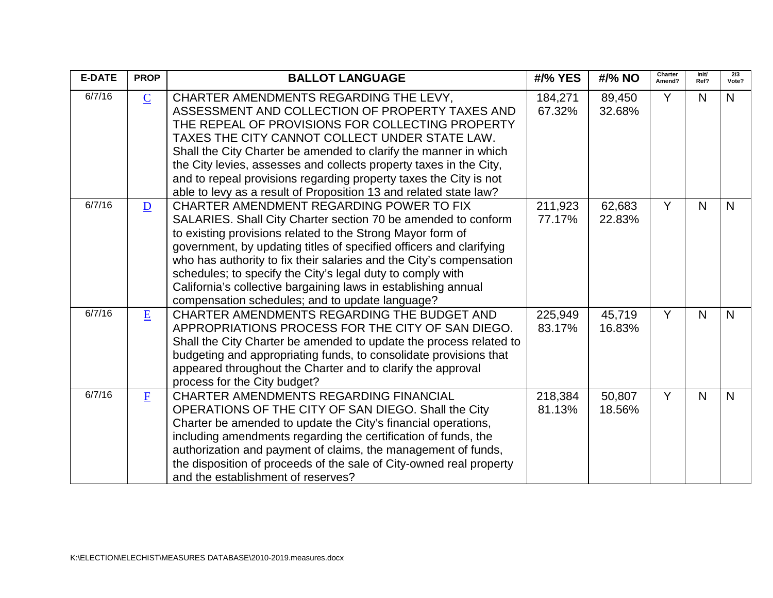| <b>E-DATE</b> | <b>PROP</b>     | <b>BALLOT LANGUAGE</b>                                                                                                                                                                                                                                                                                                                                                                                                                                                                                   | #/% YES           | #/% NO           | Charter<br>Amend? | Init/<br>Ref? | 2/3<br>Vote? |
|---------------|-----------------|----------------------------------------------------------------------------------------------------------------------------------------------------------------------------------------------------------------------------------------------------------------------------------------------------------------------------------------------------------------------------------------------------------------------------------------------------------------------------------------------------------|-------------------|------------------|-------------------|---------------|--------------|
| 6/7/16        | $\underline{C}$ | CHARTER AMENDMENTS REGARDING THE LEVY,<br>ASSESSMENT AND COLLECTION OF PROPERTY TAXES AND<br>THE REPEAL OF PROVISIONS FOR COLLECTING PROPERTY<br>TAXES THE CITY CANNOT COLLECT UNDER STATE LAW.<br>Shall the City Charter be amended to clarify the manner in which<br>the City levies, assesses and collects property taxes in the City,<br>and to repeal provisions regarding property taxes the City is not<br>able to levy as a result of Proposition 13 and related state law?                      | 184,271<br>67.32% | 89,450<br>32.68% | Y                 | N             | N.           |
| 6/7/16        | $\overline{D}$  | CHARTER AMENDMENT REGARDING POWER TO FIX<br>SALARIES. Shall City Charter section 70 be amended to conform<br>to existing provisions related to the Strong Mayor form of<br>government, by updating titles of specified officers and clarifying<br>who has authority to fix their salaries and the City's compensation<br>schedules; to specify the City's legal duty to comply with<br>California's collective bargaining laws in establishing annual<br>compensation schedules; and to update language? | 211,923<br>77.17% | 62,683<br>22.83% | Y                 | N             | $\mathsf{N}$ |
| 6/7/16        | E               | CHARTER AMENDMENTS REGARDING THE BUDGET AND<br>APPROPRIATIONS PROCESS FOR THE CITY OF SAN DIEGO.<br>Shall the City Charter be amended to update the process related to<br>budgeting and appropriating funds, to consolidate provisions that<br>appeared throughout the Charter and to clarify the approval<br>process for the City budget?                                                                                                                                                               | 225,949<br>83.17% | 45,719<br>16.83% | Y                 | N             | $\mathsf{N}$ |
| 6/7/16        | $\mathbf{F}$    | <b>CHARTER AMENDMENTS REGARDING FINANCIAL</b><br>OPERATIONS OF THE CITY OF SAN DIEGO. Shall the City<br>Charter be amended to update the City's financial operations,<br>including amendments regarding the certification of funds, the<br>authorization and payment of claims, the management of funds,<br>the disposition of proceeds of the sale of City-owned real property<br>and the establishment of reserves?                                                                                    | 218,384<br>81.13% | 50,807<br>18.56% | Y                 | N             | $\mathsf{N}$ |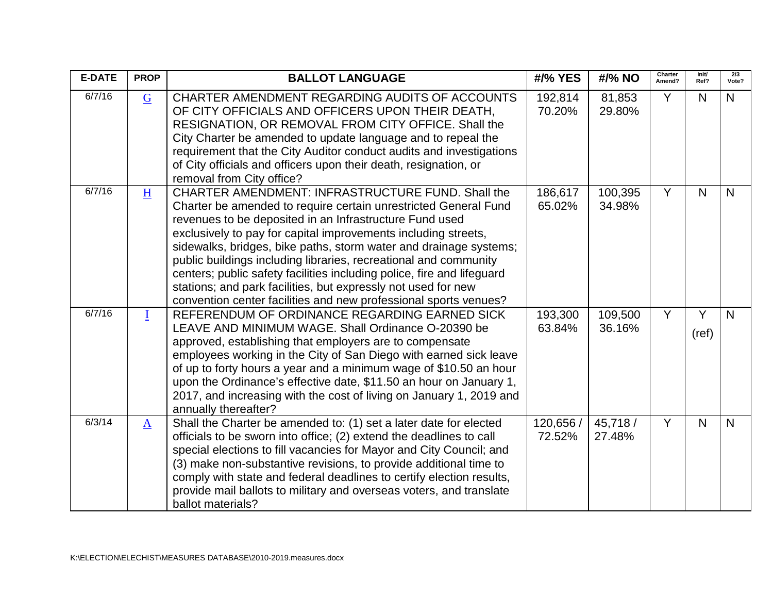| <b>E-DATE</b> | <b>PROP</b>     | <b>BALLOT LANGUAGE</b>                                                                                                                                                                                                                                                                                                                                                                                                                                                                                                                                                                                    | #/% YES           | #/% NO             | Charter<br>Amend? | Init/<br>Ref? | 2/3<br>Vote?   |
|---------------|-----------------|-----------------------------------------------------------------------------------------------------------------------------------------------------------------------------------------------------------------------------------------------------------------------------------------------------------------------------------------------------------------------------------------------------------------------------------------------------------------------------------------------------------------------------------------------------------------------------------------------------------|-------------------|--------------------|-------------------|---------------|----------------|
| 6/7/16        | $\overline{G}$  | CHARTER AMENDMENT REGARDING AUDITS OF ACCOUNTS<br>OF CITY OFFICIALS AND OFFICERS UPON THEIR DEATH,<br>RESIGNATION, OR REMOVAL FROM CITY OFFICE. Shall the<br>City Charter be amended to update language and to repeal the<br>requirement that the City Auditor conduct audits and investigations<br>of City officials and officers upon their death, resignation, or<br>removal from City office?                                                                                                                                                                                                         | 192,814<br>70.20% | 81,853<br>29.80%   | Y                 | $\mathsf{N}$  | N <sub>1</sub> |
| 6/7/16        | H               | CHARTER AMENDMENT: INFRASTRUCTURE FUND. Shall the<br>Charter be amended to require certain unrestricted General Fund<br>revenues to be deposited in an Infrastructure Fund used<br>exclusively to pay for capital improvements including streets,<br>sidewalks, bridges, bike paths, storm water and drainage systems;<br>public buildings including libraries, recreational and community<br>centers; public safety facilities including police, fire and lifeguard<br>stations; and park facilities, but expressly not used for new<br>convention center facilities and new professional sports venues? | 186,617<br>65.02% | 100,395<br>34.98%  | Y                 | $\mathsf{N}$  | $\mathsf{N}$   |
| 6/7/16        | $\mathbf I$     | REFERENDUM OF ORDINANCE REGARDING EARNED SICK<br>LEAVE AND MINIMUM WAGE. Shall Ordinance O-20390 be<br>approved, establishing that employers are to compensate<br>employees working in the City of San Diego with earned sick leave<br>of up to forty hours a year and a minimum wage of \$10.50 an hour<br>upon the Ordinance's effective date, \$11.50 an hour on January 1,<br>2017, and increasing with the cost of living on January 1, 2019 and<br>annually thereafter?                                                                                                                             | 193,300<br>63.84% | 109,500<br>36.16%  | Y                 | Y<br>(ref)    | N              |
| 6/3/14        | $\underline{A}$ | Shall the Charter be amended to: (1) set a later date for elected<br>officials to be sworn into office; (2) extend the deadlines to call<br>special elections to fill vacancies for Mayor and City Council; and<br>(3) make non-substantive revisions, to provide additional time to<br>comply with state and federal deadlines to certify election results,<br>provide mail ballots to military and overseas voters, and translate<br>ballot materials?                                                                                                                                                  | 120,656<br>72.52% | 45,718 /<br>27.48% | Y                 | N             | N              |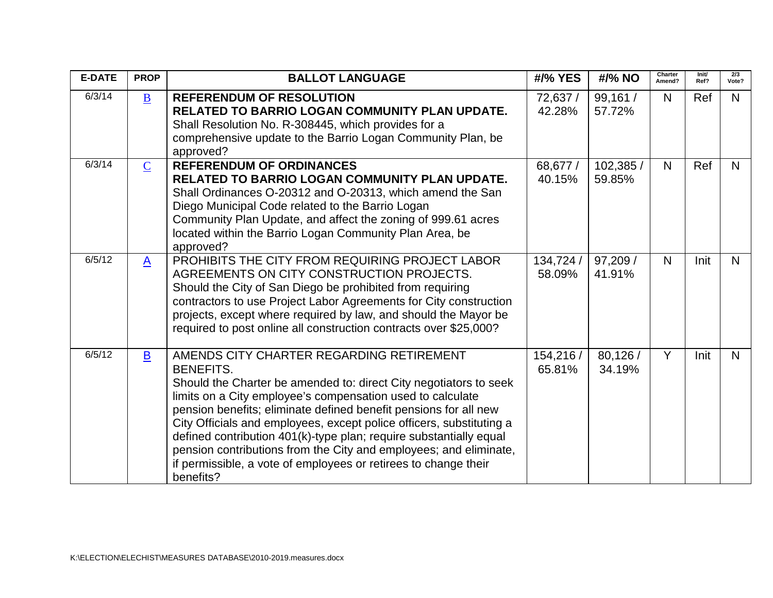| <b>E-DATE</b> | <b>PROP</b>              | <b>BALLOT LANGUAGE</b>                                                                                                                                                                                                                                                                                                                                                                                                                                                                                                                                                 | #/% YES             | #/% NO              | Charter<br>Amend? | Init/<br>Ref? | 2/3<br>Vote? |
|---------------|--------------------------|------------------------------------------------------------------------------------------------------------------------------------------------------------------------------------------------------------------------------------------------------------------------------------------------------------------------------------------------------------------------------------------------------------------------------------------------------------------------------------------------------------------------------------------------------------------------|---------------------|---------------------|-------------------|---------------|--------------|
| 6/3/14        | $\underline{\mathbf{B}}$ | <b>REFERENDUM OF RESOLUTION</b><br><b>RELATED TO BARRIO LOGAN COMMUNITY PLAN UPDATE.</b><br>Shall Resolution No. R-308445, which provides for a<br>comprehensive update to the Barrio Logan Community Plan, be<br>approved?                                                                                                                                                                                                                                                                                                                                            | 72,637 /<br>42.28%  | 99,161 /<br>57.72%  | N                 | <b>Ref</b>    | N.           |
| 6/3/14        | $\overline{C}$           | <b>REFERENDUM OF ORDINANCES</b><br>RELATED TO BARRIO LOGAN COMMUNITY PLAN UPDATE.<br>Shall Ordinances O-20312 and O-20313, which amend the San<br>Diego Municipal Code related to the Barrio Logan<br>Community Plan Update, and affect the zoning of 999.61 acres<br>located within the Barrio Logan Community Plan Area, be<br>approved?                                                                                                                                                                                                                             | 68,677 /<br>40.15%  | 102,385 /<br>59.85% | N                 | Ref           | N.           |
| 6/5/12        | $\mathbf{A}$             | PROHIBITS THE CITY FROM REQUIRING PROJECT LABOR<br>AGREEMENTS ON CITY CONSTRUCTION PROJECTS.<br>Should the City of San Diego be prohibited from requiring<br>contractors to use Project Labor Agreements for City construction<br>projects, except where required by law, and should the Mayor be<br>required to post online all construction contracts over \$25,000?                                                                                                                                                                                                 | 134,724 /<br>58.09% | 97,209 /<br>41.91%  | N                 | Init          | N.           |
| 6/5/12        | $\mathbf{B}$             | AMENDS CITY CHARTER REGARDING RETIREMENT<br><b>BENEFITS.</b><br>Should the Charter be amended to: direct City negotiators to seek<br>limits on a City employee's compensation used to calculate<br>pension benefits; eliminate defined benefit pensions for all new<br>City Officials and employees, except police officers, substituting a<br>defined contribution 401(k)-type plan; require substantially equal<br>pension contributions from the City and employees; and eliminate,<br>if permissible, a vote of employees or retirees to change their<br>benefits? | 154,216 /<br>65.81% | 80,126 /<br>34.19%  | Y                 | Init          | N.           |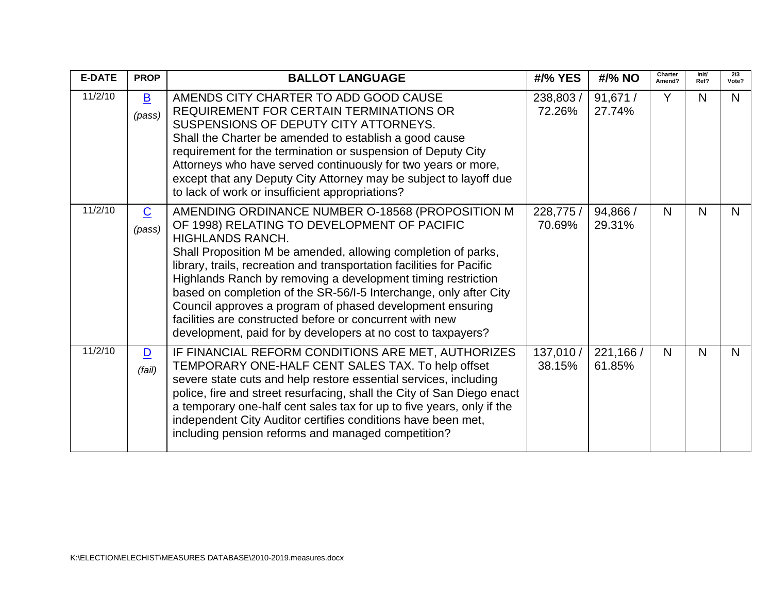| <b>E-DATE</b> | <b>PROP</b>              | <b>BALLOT LANGUAGE</b>                                                                                                                                                                                                                                                                                                                                                                                                                                                                                                                                                                      | #/% YES             | #/% NO              | Charter<br>Amend? | Init/<br>Ref? | 2/3<br>Vote? |
|---------------|--------------------------|---------------------------------------------------------------------------------------------------------------------------------------------------------------------------------------------------------------------------------------------------------------------------------------------------------------------------------------------------------------------------------------------------------------------------------------------------------------------------------------------------------------------------------------------------------------------------------------------|---------------------|---------------------|-------------------|---------------|--------------|
| 11/2/10       | $\mathbf{B}$<br>(pass)   | AMENDS CITY CHARTER TO ADD GOOD CAUSE<br><b>REQUIREMENT FOR CERTAIN TERMINATIONS OR</b><br>SUSPENSIONS OF DEPUTY CITY ATTORNEYS.<br>Shall the Charter be amended to establish a good cause<br>requirement for the termination or suspension of Deputy City<br>Attorneys who have served continuously for two years or more,<br>except that any Deputy City Attorney may be subject to layoff due<br>to lack of work or insufficient appropriations?                                                                                                                                         | 238,803 /<br>72.26% | 91,671 /<br>27.74%  | Y                 | N             | N            |
| 11/2/10       | $\overline{C}$<br>(pass) | AMENDING ORDINANCE NUMBER O-18568 (PROPOSITION M<br>OF 1998) RELATING TO DEVELOPMENT OF PACIFIC<br>HIGHLANDS RANCH.<br>Shall Proposition M be amended, allowing completion of parks,<br>library, trails, recreation and transportation facilities for Pacific<br>Highlands Ranch by removing a development timing restriction<br>based on completion of the SR-56/I-5 Interchange, only after City<br>Council approves a program of phased development ensuring<br>facilities are constructed before or concurrent with new<br>development, paid for by developers at no cost to taxpayers? | 228,775 /<br>70.69% | 94,866 /<br>29.31%  | N                 | N             | N            |
| 11/2/10       | $\mathbf{D}$<br>(fail)   | IF FINANCIAL REFORM CONDITIONS ARE MET, AUTHORIZES<br>TEMPORARY ONE-HALF CENT SALES TAX. To help offset<br>severe state cuts and help restore essential services, including<br>police, fire and street resurfacing, shall the City of San Diego enact<br>a temporary one-half cent sales tax for up to five years, only if the<br>independent City Auditor certifies conditions have been met,<br>including pension reforms and managed competition?                                                                                                                                        | 137,010 /<br>38.15% | 221,166 /<br>61.85% | $\mathsf{N}$      | N             | N            |